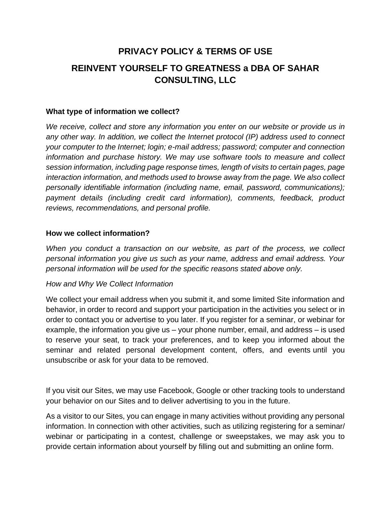# **PRIVACY POLICY & TERMS OF USE REINVENT YOURSELF TO GREATNESS a DBA OF SAHAR CONSULTING, LLC**

#### **What type of information we collect?**

*We receive, collect and store any information you enter on our website or provide us in any other way. In addition, we collect the Internet protocol (IP) address used to connect your computer to the Internet; login; e-mail address; password; computer and connection information and purchase history. We may use software tools to measure and collect session information, including page response times, length of visits to certain pages, page interaction information, and methods used to browse away from the page. We also collect personally identifiable information (including name, email, password, communications); payment details (including credit card information), comments, feedback, product reviews, recommendations, and personal profile.*

#### **How we collect information?**

*When you conduct a transaction on our website, as part of the process, we collect personal information you give us such as your name, address and email address. Your personal information will be used for the specific reasons stated above only.*

#### *How and Why We Collect Information*

We collect your email address when you submit it, and some limited Site information and behavior, in order to record and support your participation in the activities you select or in order to contact you or advertise to you later. If you register for a seminar, or webinar for example, the information you give us – your phone number, email, and address – is used to reserve your seat, to track your preferences, and to keep you informed about the seminar and related personal development content, offers, and events until you unsubscribe or ask for your data to be removed.

If you visit our Sites, we may use Facebook, Google or other tracking tools to understand your behavior on our Sites and to deliver advertising to you in the future.

As a visitor to our Sites, you can engage in many activities without providing any personal information. In connection with other activities, such as utilizing registering for a seminar/ webinar or participating in a contest, challenge or sweepstakes, we may ask you to provide certain information about yourself by filling out and submitting an online form.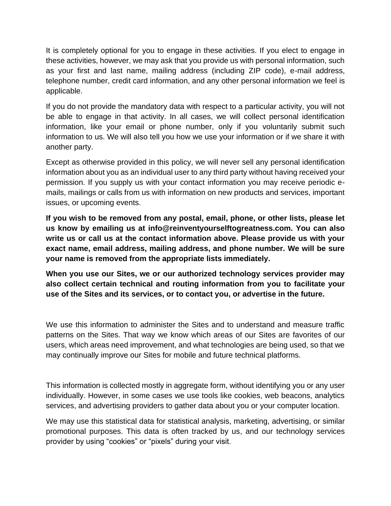It is completely optional for you to engage in these activities. If you elect to engage in these activities, however, we may ask that you provide us with personal information, such as your first and last name, mailing address (including ZIP code), e-mail address, telephone number, credit card information, and any other personal information we feel is applicable.

If you do not provide the mandatory data with respect to a particular activity, you will not be able to engage in that activity. In all cases, we will collect personal identification information, like your email or phone number, only if you voluntarily submit such information to us. We will also tell you how we use your information or if we share it with another party.

Except as otherwise provided in this policy, we will never sell any personal identification information about you as an individual user to any third party without having received your permission. If you supply us with your contact information you may receive periodic emails, mailings or calls from us with information on new products and services, important issues, or upcoming events.

**If you wish to be removed from any postal, email, phone, or other lists, please let us know by emailing us at info@reinventyourselftogreatness.com. You can also write us or call us at the contact information above. Please provide us with your exact name, email address, mailing address, and phone number. We will be sure your name is removed from the appropriate lists immediately.**

**When you use our Sites, we or our authorized technology services provider may also collect certain technical and routing information from you to facilitate your use of the Sites and its services, or to contact you, or advertise in the future.**

We use this information to administer the Sites and to understand and measure traffic patterns on the Sites. That way we know which areas of our Sites are favorites of our users, which areas need improvement, and what technologies are being used, so that we may continually improve our Sites for mobile and future technical platforms.

This information is collected mostly in aggregate form, without identifying you or any user individually. However, in some cases we use tools like cookies, web beacons, analytics services, and advertising providers to gather data about you or your computer location.

We may use this statistical data for statistical analysis, marketing, advertising, or similar promotional purposes. This data is often tracked by us, and our technology services provider by using "cookies" or "pixels" during your visit.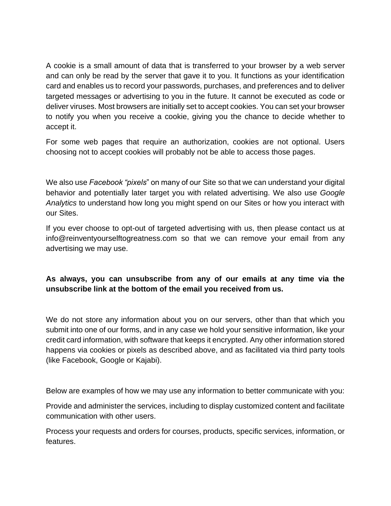A cookie is a small amount of data that is transferred to your browser by a web server and can only be read by the server that gave it to you. It functions as your identification card and enables us to record your passwords, purchases, and preferences and to deliver targeted messages or advertising to you in the future. It cannot be executed as code or deliver viruses. Most browsers are initially set to accept cookies. You can set your browser to notify you when you receive a cookie, giving you the chance to decide whether to accept it.

For some web pages that require an authorization, cookies are not optional. Users choosing not to accept cookies will probably not be able to access those pages.

We also use *Facebook "pixels*" on many of our Site so that we can understand your digital behavior and potentially later target you with related advertising. We also use *Google Analytics* to understand how long you might spend on our Sites or how you interact with our Sites.

If you ever choose to opt-out of targeted advertising with us, then please contact us at info@reinventyourselftogreatness.com so that we can remove your email from any advertising we may use.

# **As always, you can unsubscribe from any of our emails at any time via the unsubscribe link at the bottom of the email you received from us.**

We do not store any information about you on our servers, other than that which you submit into one of our forms, and in any case we hold your sensitive information, like your credit card information, with software that keeps it encrypted. Any other information stored happens via cookies or pixels as described above, and as facilitated via third party tools (like Facebook, Google or Kajabi).

Below are examples of how we may use any information to better communicate with you:

Provide and administer the services, including to display customized content and facilitate communication with other users.

Process your requests and orders for courses, products, specific services, information, or features.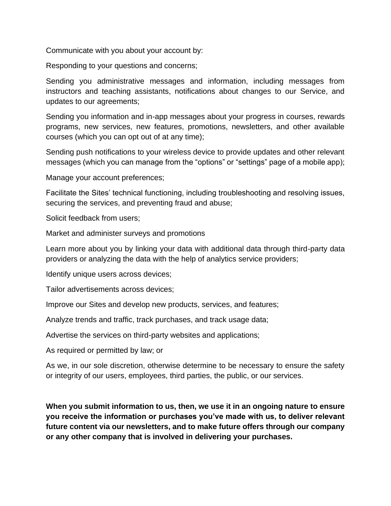Communicate with you about your account by:

Responding to your questions and concerns;

Sending you administrative messages and information, including messages from instructors and teaching assistants, notifications about changes to our Service, and updates to our agreements;

Sending you information and in-app messages about your progress in courses, rewards programs, new services, new features, promotions, newsletters, and other available courses (which you can opt out of at any time);

Sending push notifications to your wireless device to provide updates and other relevant messages (which you can manage from the "options" or "settings" page of a mobile app);

Manage your account preferences;

Facilitate the Sites' technical functioning, including troubleshooting and resolving issues, securing the services, and preventing fraud and abuse;

Solicit feedback from users;

Market and administer surveys and promotions

Learn more about you by linking your data with additional data through third-party data providers or analyzing the data with the help of analytics service providers;

Identify unique users across devices;

Tailor advertisements across devices;

Improve our Sites and develop new products, services, and features;

Analyze trends and traffic, track purchases, and track usage data;

Advertise the services on third-party websites and applications;

As required or permitted by law; or

As we, in our sole discretion, otherwise determine to be necessary to ensure the safety or integrity of our users, employees, third parties, the public, or our services.

**When you submit information to us, then, we use it in an ongoing nature to ensure you receive the information or purchases you've made with us, to deliver relevant future content via our newsletters, and to make future offers through our company or any other company that is involved in delivering your purchases.**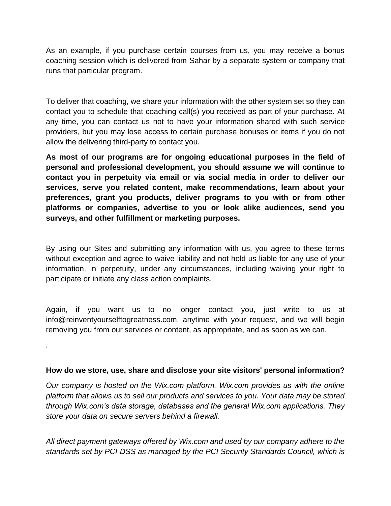As an example, if you purchase certain courses from us, you may receive a bonus coaching session which is delivered from Sahar by a separate system or company that runs that particular program.

To deliver that coaching, we share your information with the other system set so they can contact you to schedule that coaching call(s) you received as part of your purchase. At any time, you can contact us not to have your information shared with such service providers, but you may lose access to certain purchase bonuses or items if you do not allow the delivering third-party to contact you.

**As most of our programs are for ongoing educational purposes in the field of personal and professional development, you should assume we will continue to contact you in perpetuity via email or via social media in order to deliver our services, serve you related content, make recommendations, learn about your preferences, grant you products, deliver programs to you with or from other platforms or companies, advertise to you or look alike audiences, send you surveys, and other fulfillment or marketing purposes.**

By using our Sites and submitting any information with us, you agree to these terms without exception and agree to waive liability and not hold us liable for any use of your information, in perpetuity, under any circumstances, including waiving your right to participate or initiate any class action complaints.

Again, if you want us to no longer contact you, just write to us at info@reinventyourselftogreatness.com, anytime with your request, and we will begin removing you from our services or content, as appropriate, and as soon as we can.

**How do we store, use, share and disclose your site visitors' personal information?**

*.*

*Our company is hosted on the Wix.com platform. Wix.com provides us with the online platform that allows us to sell our products and services to you. Your data may be stored through Wix.com's data storage, databases and the general Wix.com applications. They store your data on secure servers behind a firewall.*

*All direct payment gateways offered by Wix.com and used by our company adhere to the standards set by PCI-DSS as managed by the PCI Security Standards Council, which is*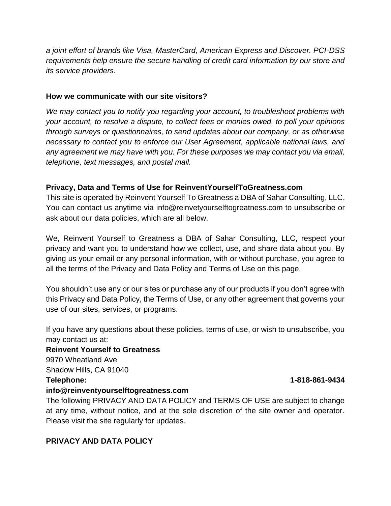*a joint effort of brands like Visa, MasterCard, American Express and Discover. PCI-DSS requirements help ensure the secure handling of credit card information by our store and its service providers.*

#### **How we communicate with our site visitors?**

*We may contact you to notify you regarding your account, to troubleshoot problems with your account, to resolve a dispute, to collect fees or monies owed, to poll your opinions through surveys or questionnaires, to send updates about our company, or as otherwise necessary to contact you to enforce our User Agreement, applicable national laws, and any agreement we may have with you. For these purposes we may contact you via email, telephone, text messages, and postal mail.*

# **Privacy, Data and Terms of Use for ReinventYourselfToGreatness.com**

This site is operated by Reinvent Yourself To Greatness a DBA of Sahar Consulting, LLC. You can contact us anytime via info@reinvetyourselftogreatness.com to unsubscribe or ask about our data policies, which are all below.

We, Reinvent Yourself to Greatness a DBA of Sahar Consulting, LLC, respect your privacy and want you to understand how we collect, use, and share data about you. By giving us your email or any personal information, with or without purchase, you agree to all the terms of the Privacy and Data Policy and Terms of Use on this page.

You shouldn't use any or our sites or purchase any of our products if you don't agree with this Privacy and Data Policy, the Terms of Use, or any other agreement that governs your use of our sites, services, or programs.

If you have any questions about these policies, terms of use, or wish to unsubscribe, you may contact us at:

# **Reinvent Yourself to Greatness** 9970 Wheatland Ave

Shadow Hills, CA 91040

# **info@reinventyourselftogreatness.com**

The following PRIVACY AND DATA POLICY and TERMS OF USE are subject to change at any time, without notice, and at the sole discretion of the site owner and operator. Please visit the site regularly for updates.

# **PRIVACY AND DATA POLICY**

**Telephone: 1-818-861-9434**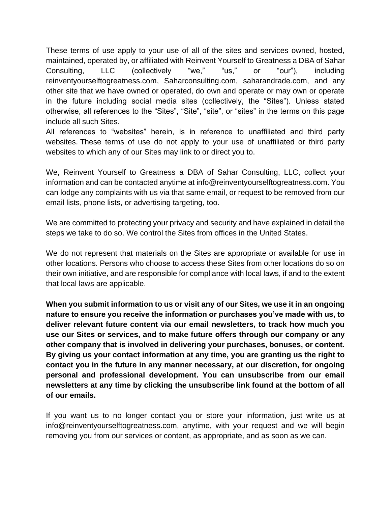These terms of use apply to your use of all of the sites and services owned, hosted, maintained, operated by, or affiliated with Reinvent Yourself to Greatness a DBA of Sahar Consulting, LLC (collectively "we," "us," or "our"), including reinventyourselftogreatness.com, Saharconsulting.com, saharandrade.com, and any other site that we have owned or operated, do own and operate or may own or operate in the future including social media sites (collectively, the "Sites"). Unless stated otherwise, all references to the "Sites", "Site", "site", or "sites" in the terms on this page include all such Sites.

All references to "websites" herein, is in reference to unaffiliated and third party websites. These terms of use do not apply to your use of unaffiliated or third party websites to which any of our Sites may link to or direct you to.

We, Reinvent Yourself to Greatness a DBA of Sahar Consulting, LLC, collect your information and can be contacted anytime at info@reinventyourselftogreatness.com. You can lodge any complaints with us via that same email, or request to be removed from our email lists, phone lists, or advertising targeting, too.

We are committed to protecting your privacy and security and have explained in detail the steps we take to do so. We control the Sites from offices in the United States.

We do not represent that materials on the Sites are appropriate or available for use in other locations. Persons who choose to access these Sites from other locations do so on their own initiative, and are responsible for compliance with local laws, if and to the extent that local laws are applicable.

**When you submit information to us or visit any of our Sites, we use it in an ongoing nature to ensure you receive the information or purchases you've made with us, to deliver relevant future content via our email newsletters, to track how much you use our Sites or services, and to make future offers through our company or any other company that is involved in delivering your purchases, bonuses, or content. By giving us your contact information at any time, you are granting us the right to contact you in the future in any manner necessary, at our discretion, for ongoing personal and professional development. You can unsubscribe from our email newsletters at any time by clicking the unsubscribe link found at the bottom of all of our emails.**

If you want us to no longer contact you or store your information, just write us at info@reinventyourselftogreatness.com, anytime, with your request and we will begin removing you from our services or content, as appropriate, and as soon as we can.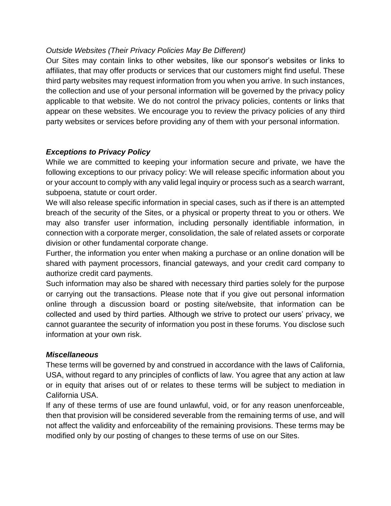#### *Outside Websites (Their Privacy Policies May Be Different)*

Our Sites may contain links to other websites, like our sponsor's websites or links to affiliates, that may offer products or services that our customers might find useful. These third party websites may request information from you when you arrive. In such instances, the collection and use of your personal information will be governed by the privacy policy applicable to that website. We do not control the privacy policies, contents or links that appear on these websites. We encourage you to review the privacy policies of any third party websites or services before providing any of them with your personal information.

# *Exceptions to Privacy Policy*

While we are committed to keeping your information secure and private, we have the following exceptions to our privacy policy: We will release specific information about you or your account to comply with any valid legal inquiry or process such as a search warrant, subpoena, statute or court order.

We will also release specific information in special cases, such as if there is an attempted breach of the security of the Sites, or a physical or property threat to you or others. We may also transfer user information, including personally identifiable information, in connection with a corporate merger, consolidation, the sale of related assets or corporate division or other fundamental corporate change.

Further, the information you enter when making a purchase or an online donation will be shared with payment processors, financial gateways, and your credit card company to authorize credit card payments.

Such information may also be shared with necessary third parties solely for the purpose or carrying out the transactions. Please note that if you give out personal information online through a discussion board or posting site/website, that information can be collected and used by third parties. Although we strive to protect our users' privacy, we cannot guarantee the security of information you post in these forums. You disclose such information at your own risk.

#### *Miscellaneous*

These terms will be governed by and construed in accordance with the laws of California, USA, without regard to any principles of conflicts of law. You agree that any action at law or in equity that arises out of or relates to these terms will be subject to mediation in California USA.

If any of these terms of use are found unlawful, void, or for any reason unenforceable, then that provision will be considered severable from the remaining terms of use, and will not affect the validity and enforceability of the remaining provisions. These terms may be modified only by our posting of changes to these terms of use on our Sites.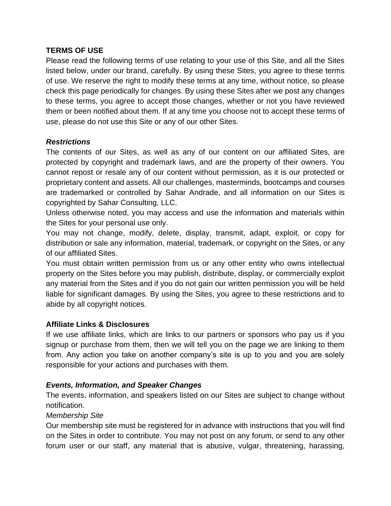#### **TERMS OF USE**

Please read the following terms of use relating to your use of this Site, and all the Sites listed below, under our brand, carefully. By using these Sites, you agree to these terms of use. We reserve the right to modify these terms at any time, without notice, so please check this page periodically for changes. By using these Sites after we post any changes to these terms, you agree to accept those changes, whether or not you have reviewed them or been notified about them. If at any time you choose not to accept these terms of use, please do not use this Site or any of our other Sites.

# *Restrictions*

The contents of our Sites, as well as any of our content on our affiliated Sites, are protected by copyright and trademark laws, and are the property of their owners. You cannot repost or resale any of our content without permission, as it is our protected or proprietary content and assets. All our challenges, masterminds, bootcamps and courses are trademarked or controlled by Sahar Andrade, and all information on our Sites is copyrighted by Sahar Consulting, LLC.

Unless otherwise noted, you may access and use the information and materials within the Sites for your personal use only.

You may not change, modify, delete, display, transmit, adapt, exploit, or copy for distribution or sale any information, material, trademark, or copyright on the Sites, or any of our affiliated Sites.

You must obtain written permission from us or any other entity who owns intellectual property on the Sites before you may publish, distribute, display, or commercially exploit any material from the Sites and if you do not gain our written permission you will be held liable for significant damages. By using the Sites, you agree to these restrictions and to abide by all copyright notices.

# **Affiliate Links & Disclosures**

If we use affiliate links, which are links to our partners or sponsors who pay us if you signup or purchase from them, then we will tell you on the page we are linking to them from. Any action you take on another company's site is up to you and you are solely responsible for your actions and purchases with them.

#### *Events, Information, and Speaker Changes*

The events, information, and speakers listed on our Sites are subject to change without notification.

#### *Membership Site*

Our membership site must be registered for in advance with instructions that you will find on the Sites in order to contribute. You may not post on any forum, or send to any other forum user or our staff, any material that is abusive, vulgar, threatening, harassing,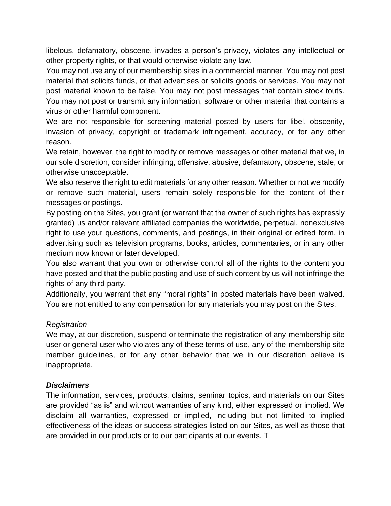libelous, defamatory, obscene, invades a person's privacy, violates any intellectual or other property rights, or that would otherwise violate any law.

You may not use any of our membership sites in a commercial manner. You may not post material that solicits funds, or that advertises or solicits goods or services. You may not post material known to be false. You may not post messages that contain stock touts. You may not post or transmit any information, software or other material that contains a virus or other harmful component.

We are not responsible for screening material posted by users for libel, obscenity, invasion of privacy, copyright or trademark infringement, accuracy, or for any other reason.

We retain, however, the right to modify or remove messages or other material that we, in our sole discretion, consider infringing, offensive, abusive, defamatory, obscene, stale, or otherwise unacceptable.

We also reserve the right to edit materials for any other reason. Whether or not we modify or remove such material, users remain solely responsible for the content of their messages or postings.

By posting on the Sites, you grant (or warrant that the owner of such rights has expressly granted) us and/or relevant affiliated companies the worldwide, perpetual, nonexclusive right to use your questions, comments, and postings, in their original or edited form, in advertising such as television programs, books, articles, commentaries, or in any other medium now known or later developed.

You also warrant that you own or otherwise control all of the rights to the content you have posted and that the public posting and use of such content by us will not infringe the rights of any third party.

Additionally, you warrant that any "moral rights" in posted materials have been waived. You are not entitled to any compensation for any materials you may post on the Sites.

# *Registration*

We may, at our discretion, suspend or terminate the registration of any membership site user or general user who violates any of these terms of use, any of the membership site member guidelines, or for any other behavior that we in our discretion believe is inappropriate.

# *Disclaimers*

The information, services, products, claims, seminar topics, and materials on our Sites are provided "as is" and without warranties of any kind, either expressed or implied. We disclaim all warranties, expressed or implied, including but not limited to implied effectiveness of the ideas or success strategies listed on our Sites, as well as those that are provided in our products or to our participants at our events. T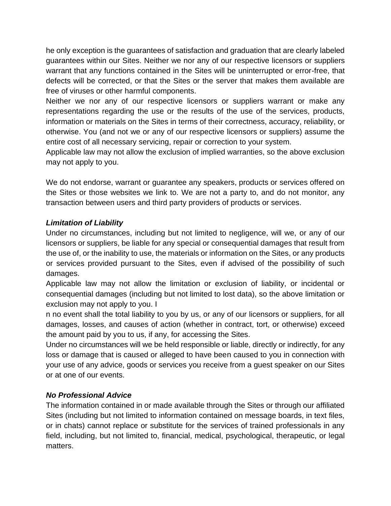he only exception is the guarantees of satisfaction and graduation that are clearly labeled guarantees within our Sites. Neither we nor any of our respective licensors or suppliers warrant that any functions contained in the Sites will be uninterrupted or error-free, that defects will be corrected, or that the Sites or the server that makes them available are free of viruses or other harmful components.

Neither we nor any of our respective licensors or suppliers warrant or make any representations regarding the use or the results of the use of the services, products, information or materials on the Sites in terms of their correctness, accuracy, reliability, or otherwise. You (and not we or any of our respective licensors or suppliers) assume the entire cost of all necessary servicing, repair or correction to your system.

Applicable law may not allow the exclusion of implied warranties, so the above exclusion may not apply to you.

We do not endorse, warrant or guarantee any speakers, products or services offered on the Sites or those websites we link to. We are not a party to, and do not monitor, any transaction between users and third party providers of products or services.

# *Limitation of Liability*

Under no circumstances, including but not limited to negligence, will we, or any of our licensors or suppliers, be liable for any special or consequential damages that result from the use of, or the inability to use, the materials or information on the Sites, or any products or services provided pursuant to the Sites, even if advised of the possibility of such damages.

Applicable law may not allow the limitation or exclusion of liability, or incidental or consequential damages (including but not limited to lost data), so the above limitation or exclusion may not apply to you. I

n no event shall the total liability to you by us, or any of our licensors or suppliers, for all damages, losses, and causes of action (whether in contract, tort, or otherwise) exceed the amount paid by you to us, if any, for accessing the Sites.

Under no circumstances will we be held responsible or liable, directly or indirectly, for any loss or damage that is caused or alleged to have been caused to you in connection with your use of any advice, goods or services you receive from a guest speaker on our Sites or at one of our events.

# *No Professional Advice*

The information contained in or made available through the Sites or through our affiliated Sites (including but not limited to information contained on message boards, in text files, or in chats) cannot replace or substitute for the services of trained professionals in any field, including, but not limited to, financial, medical, psychological, therapeutic, or legal matters.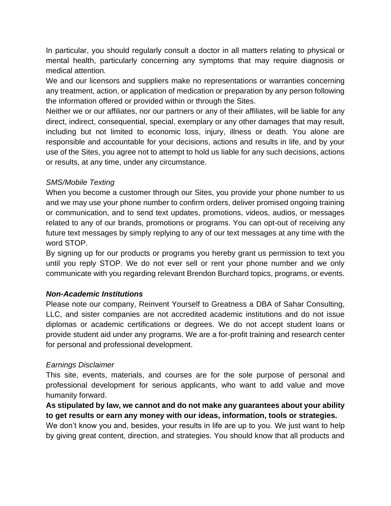In particular, you should regularly consult a doctor in all matters relating to physical or mental health, particularly concerning any symptoms that may require diagnosis or medical attention.

We and our licensors and suppliers make no representations or warranties concerning any treatment, action, or application of medication or preparation by any person following the information offered or provided within or through the Sites.

Neither we or our affiliates, nor our partners or any of their affiliates, will be liable for any direct, indirect, consequential, special, exemplary or any other damages that may result, including but not limited to economic loss, injury, illness or death. You alone are responsible and accountable for your decisions, actions and results in life, and by your use of the Sites, you agree not to attempt to hold us liable for any such decisions, actions or results, at any time, under any circumstance.

# *SMS/Mobile Texting*

When you become a customer through our Sites, you provide your phone number to us and we may use your phone number to confirm orders, deliver promised ongoing training or communication, and to send text updates, promotions, videos, audios, or messages related to any of our brands, promotions or programs. You can opt-out of receiving any future text messages by simply replying to any of our text messages at any time with the word STOP.

By signing up for our products or programs you hereby grant us permission to text you until you reply STOP. We do not ever sell or rent your phone number and we only communicate with you regarding relevant Brendon Burchard topics, programs, or events.

# *Non-Academic Institutions*

Please note our company, Reinvent Yourself to Greatness a DBA of Sahar Consulting, LLC, and sister companies are not accredited academic institutions and do not issue diplomas or academic certifications or degrees. We do not accept student loans or provide student aid under any programs. We are a for-profit training and research center for personal and professional development.

#### *Earnings Disclaimer*

This site, events, materials, and courses are for the sole purpose of personal and professional development for serious applicants, who want to add value and move humanity forward.

**As stipulated by law, we cannot and do not make any guarantees about your ability to get results or earn any money with our ideas, information, tools or strategies.**

We don't know you and, besides, your results in life are up to you. We just want to help by giving great content, direction, and strategies. You should know that all products and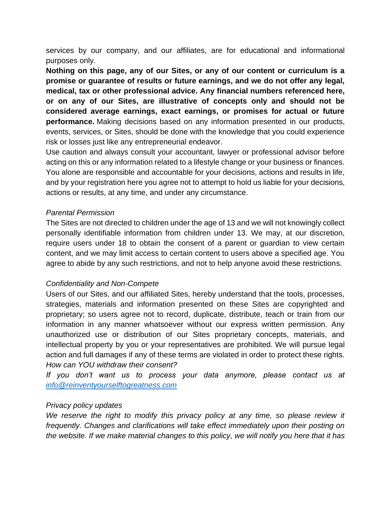services by our company, and our affiliates, are for educational and informational purposes only.

**Nothing on this page, any of our Sites, or any of our content or curriculum is a promise or guarantee of results or future earnings, and we do not offer any legal, medical, tax or other professional advice. Any financial numbers referenced here, or on any of our Sites, are illustrative of concepts only and should not be considered average earnings, exact earnings, or promises for actual or future performance.** Making decisions based on any information presented in our products, events, services, or Sites, should be done with the knowledge that you could experience risk or losses just like any entrepreneurial endeavor.

Use caution and always consult your accountant, lawyer or professional advisor before acting on this or any information related to a lifestyle change or your business or finances. You alone are responsible and accountable for your decisions, actions and results in life, and by your registration here you agree not to attempt to hold us liable for your decisions, actions or results, at any time, and under any circumstance.

#### *Parental Permission*

The Sites are not directed to children under the age of 13 and we will not knowingly collect personally identifiable information from children under 13. We may, at our discretion, require users under 18 to obtain the consent of a parent or guardian to view certain content, and we may limit access to certain content to users above a specified age. You agree to abide by any such restrictions, and not to help anyone avoid these restrictions.

# *Confidentiality and Non-Compete*

Users of our Sites, and our affiliated Sites, hereby understand that the tools, processes, strategies, materials and information presented on these Sites are copyrighted and proprietary; so users agree not to record, duplicate, distribute, teach or train from our information in any manner whatsoever without our express written permission. Any unauthorized use or distribution of our Sites proprietary concepts, materials, and intellectual property by you or your representatives are prohibited. We will pursue legal action and full damages if any of these terms are violated in order to protect these rights. *How can YOU withdraw their consent?*

*If you don't want us to process your data anymore, please contact us at [info@reinventyourselftogreatness.com](mailto:info@reinventyourselftogreatness.com)*

# *Privacy policy updates*

We reserve the right to modify this privacy policy at any time, so please review it *frequently. Changes and clarifications will take effect immediately upon their posting on the website. If we make material changes to this policy, we will notify you here that it has*